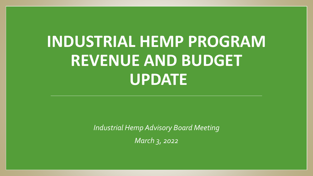## **INDUSTRIAL HEMP PROGRAM REVENUE AND BUDGET UPDATE**

*Industrial Hemp Advisory Board Meeting March 3, 2022*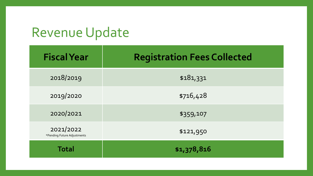## Revenue Update

| <b>Fiscal Year</b>                       | <b>Registration Fees Collected</b> |  |  |  |  |
|------------------------------------------|------------------------------------|--|--|--|--|
| 2018/2019                                | \$181,331                          |  |  |  |  |
| 2019/2020                                | \$716,428                          |  |  |  |  |
| 2020/2021                                | \$359,107                          |  |  |  |  |
| 2021/2022<br>*Pending Future Adjustments | \$121,950                          |  |  |  |  |
| <b>Total</b>                             | \$1,378,816                        |  |  |  |  |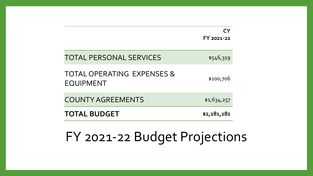|                                                           | FY 2021-22  |
|-----------------------------------------------------------|-------------|
| <b>TOTAL PERSONAL SERVICES</b>                            | \$546,319   |
| <b>TOTAL OPERATING EXPENSES &amp;</b><br><b>EQUIPMENT</b> | \$100,706   |
| <b>COUNTY AGREEMENTS</b>                                  | \$1,634,257 |
| <b>TOTAL BUDGET</b>                                       | \$2,281,282 |

## FY 2021-22 Budget Projections